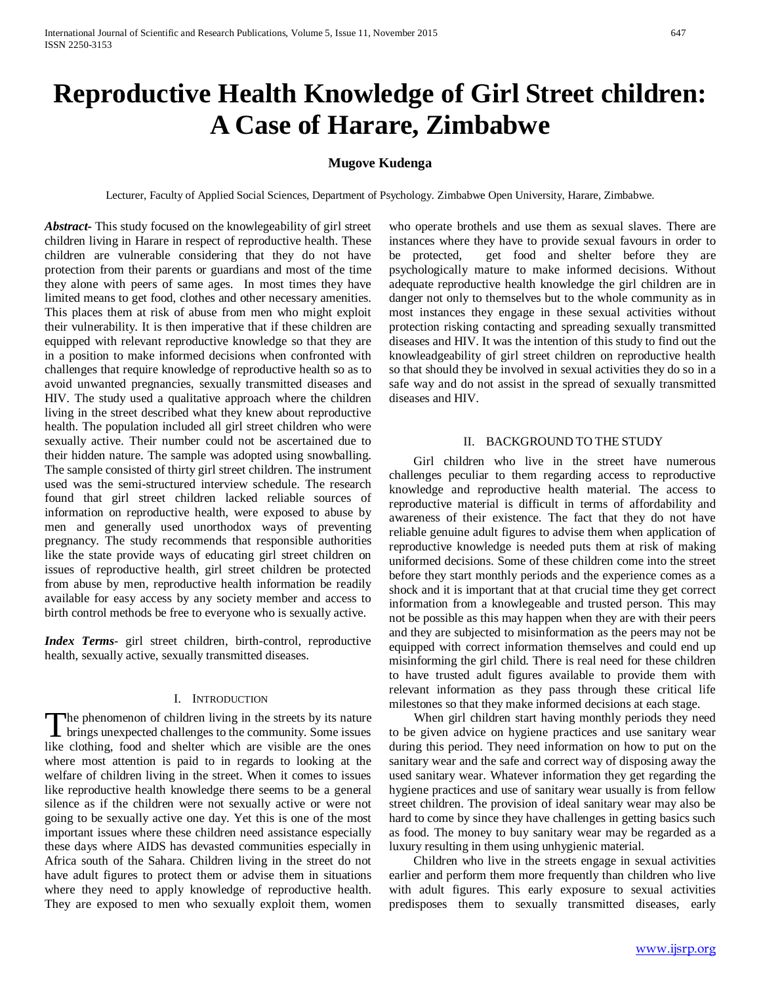# **Reproductive Health Knowledge of Girl Street children: A Case of Harare, Zimbabwe**

## **Mugove Kudenga**

Lecturer, Faculty of Applied Social Sciences, Department of Psychology. Zimbabwe Open University, Harare, Zimbabwe.

*Abstract***-** This study focused on the knowlegeability of girl street children living in Harare in respect of reproductive health. These children are vulnerable considering that they do not have protection from their parents or guardians and most of the time they alone with peers of same ages. In most times they have limited means to get food, clothes and other necessary amenities. This places them at risk of abuse from men who might exploit their vulnerability. It is then imperative that if these children are equipped with relevant reproductive knowledge so that they are in a position to make informed decisions when confronted with challenges that require knowledge of reproductive health so as to avoid unwanted pregnancies, sexually transmitted diseases and HIV. The study used a qualitative approach where the children living in the street described what they knew about reproductive health. The population included all girl street children who were sexually active. Their number could not be ascertained due to their hidden nature. The sample was adopted using snowballing. The sample consisted of thirty girl street children. The instrument used was the semi-structured interview schedule. The research found that girl street children lacked reliable sources of information on reproductive health, were exposed to abuse by men and generally used unorthodox ways of preventing pregnancy. The study recommends that responsible authorities like the state provide ways of educating girl street children on issues of reproductive health, girl street children be protected from abuse by men, reproductive health information be readily available for easy access by any society member and access to birth control methods be free to everyone who is sexually active.

*Index Terms*- girl street children, birth-control, reproductive health, sexually active, sexually transmitted diseases.

#### I. INTRODUCTION

he phenomenon of children living in the streets by its nature The phenomenon of children living in the streets by its nature<br>brings unexpected challenges to the community. Some issues like clothing, food and shelter which are visible are the ones where most attention is paid to in regards to looking at the welfare of children living in the street. When it comes to issues like reproductive health knowledge there seems to be a general silence as if the children were not sexually active or were not going to be sexually active one day. Yet this is one of the most important issues where these children need assistance especially these days where AIDS has devasted communities especially in Africa south of the Sahara. Children living in the street do not have adult figures to protect them or advise them in situations where they need to apply knowledge of reproductive health. They are exposed to men who sexually exploit them, women

who operate brothels and use them as sexual slaves. There are instances where they have to provide sexual favours in order to be protected, get food and shelter before they are psychologically mature to make informed decisions. Without adequate reproductive health knowledge the girl children are in danger not only to themselves but to the whole community as in most instances they engage in these sexual activities without protection risking contacting and spreading sexually transmitted diseases and HIV. It was the intention of this study to find out the knowleadgeability of girl street children on reproductive health so that should they be involved in sexual activities they do so in a safe way and do not assist in the spread of sexually transmitted diseases and HIV.

#### II. BACKGROUND TO THE STUDY

 Girl children who live in the street have numerous challenges peculiar to them regarding access to reproductive knowledge and reproductive health material. The access to reproductive material is difficult in terms of affordability and awareness of their existence. The fact that they do not have reliable genuine adult figures to advise them when application of reproductive knowledge is needed puts them at risk of making uniformed decisions. Some of these children come into the street before they start monthly periods and the experience comes as a shock and it is important that at that crucial time they get correct information from a knowlegeable and trusted person. This may not be possible as this may happen when they are with their peers and they are subjected to misinformation as the peers may not be equipped with correct information themselves and could end up misinforming the girl child. There is real need for these children to have trusted adult figures available to provide them with relevant information as they pass through these critical life milestones so that they make informed decisions at each stage.

 When girl children start having monthly periods they need to be given advice on hygiene practices and use sanitary wear during this period. They need information on how to put on the sanitary wear and the safe and correct way of disposing away the used sanitary wear. Whatever information they get regarding the hygiene practices and use of sanitary wear usually is from fellow street children. The provision of ideal sanitary wear may also be hard to come by since they have challenges in getting basics such as food. The money to buy sanitary wear may be regarded as a luxury resulting in them using unhygienic material.

 Children who live in the streets engage in sexual activities earlier and perform them more frequently than children who live with adult figures. This early exposure to sexual activities predisposes them to sexually transmitted diseases, early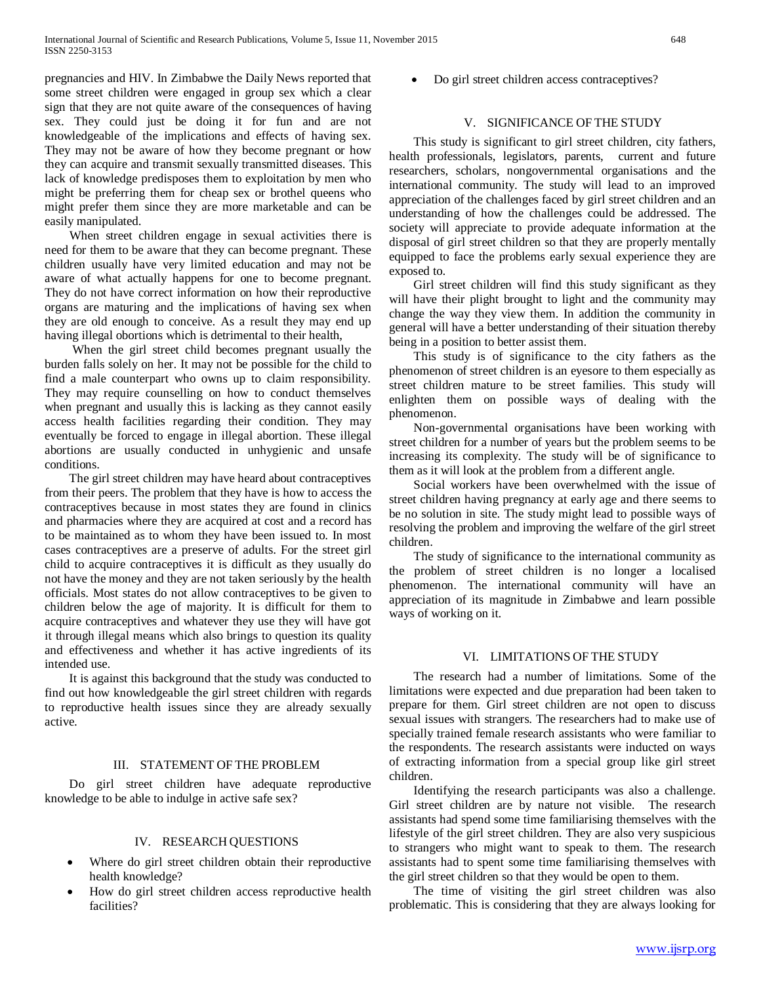pregnancies and HIV. In Zimbabwe the Daily News reported that some street children were engaged in group sex which a clear sign that they are not quite aware of the consequences of having sex. They could just be doing it for fun and are not knowledgeable of the implications and effects of having sex. They may not be aware of how they become pregnant or how they can acquire and transmit sexually transmitted diseases. This lack of knowledge predisposes them to exploitation by men who might be preferring them for cheap sex or brothel queens who might prefer them since they are more marketable and can be easily manipulated.

 When street children engage in sexual activities there is need for them to be aware that they can become pregnant. These children usually have very limited education and may not be aware of what actually happens for one to become pregnant. They do not have correct information on how their reproductive organs are maturing and the implications of having sex when they are old enough to conceive. As a result they may end up having illegal obortions which is detrimental to their health,

 When the girl street child becomes pregnant usually the burden falls solely on her. It may not be possible for the child to find a male counterpart who owns up to claim responsibility. They may require counselling on how to conduct themselves when pregnant and usually this is lacking as they cannot easily access health facilities regarding their condition. They may eventually be forced to engage in illegal abortion. These illegal abortions are usually conducted in unhygienic and unsafe conditions.

 The girl street children may have heard about contraceptives from their peers. The problem that they have is how to access the contraceptives because in most states they are found in clinics and pharmacies where they are acquired at cost and a record has to be maintained as to whom they have been issued to. In most cases contraceptives are a preserve of adults. For the street girl child to acquire contraceptives it is difficult as they usually do not have the money and they are not taken seriously by the health officials. Most states do not allow contraceptives to be given to children below the age of majority. It is difficult for them to acquire contraceptives and whatever they use they will have got it through illegal means which also brings to question its quality and effectiveness and whether it has active ingredients of its intended use.

 It is against this background that the study was conducted to find out how knowledgeable the girl street children with regards to reproductive health issues since they are already sexually active.

## III. STATEMENT OF THE PROBLEM

 Do girl street children have adequate reproductive knowledge to be able to indulge in active safe sex?

#### IV. RESEARCH QUESTIONS

- Where do girl street children obtain their reproductive health knowledge?
- How do girl street children access reproductive health facilities?

• Do girl street children access contraceptives?

## V. SIGNIFICANCE OF THE STUDY

 This study is significant to girl street children, city fathers, health professionals, legislators, parents, current and future researchers, scholars, nongovernmental organisations and the international community. The study will lead to an improved appreciation of the challenges faced by girl street children and an understanding of how the challenges could be addressed. The society will appreciate to provide adequate information at the disposal of girl street children so that they are properly mentally equipped to face the problems early sexual experience they are exposed to.

 Girl street children will find this study significant as they will have their plight brought to light and the community may change the way they view them. In addition the community in general will have a better understanding of their situation thereby being in a position to better assist them.

 This study is of significance to the city fathers as the phenomenon of street children is an eyesore to them especially as street children mature to be street families. This study will enlighten them on possible ways of dealing with the phenomenon.

 Non-governmental organisations have been working with street children for a number of years but the problem seems to be increasing its complexity. The study will be of significance to them as it will look at the problem from a different angle.

 Social workers have been overwhelmed with the issue of street children having pregnancy at early age and there seems to be no solution in site. The study might lead to possible ways of resolving the problem and improving the welfare of the girl street children.

 The study of significance to the international community as the problem of street children is no longer a localised phenomenon. The international community will have an appreciation of its magnitude in Zimbabwe and learn possible ways of working on it.

#### VI. LIMITATIONS OF THE STUDY

 The research had a number of limitations. Some of the limitations were expected and due preparation had been taken to prepare for them. Girl street children are not open to discuss sexual issues with strangers. The researchers had to make use of specially trained female research assistants who were familiar to the respondents. The research assistants were inducted on ways of extracting information from a special group like girl street children.

 Identifying the research participants was also a challenge. Girl street children are by nature not visible. The research assistants had spend some time familiarising themselves with the lifestyle of the girl street children. They are also very suspicious to strangers who might want to speak to them. The research assistants had to spent some time familiarising themselves with the girl street children so that they would be open to them.

 The time of visiting the girl street children was also problematic. This is considering that they are always looking for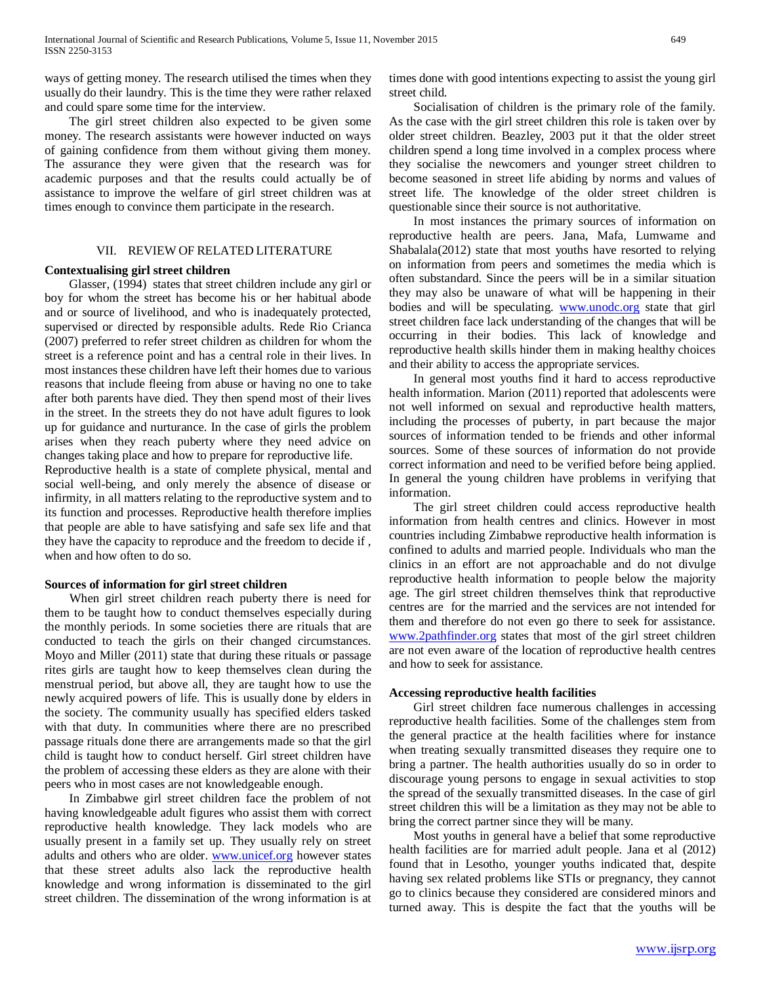ways of getting money. The research utilised the times when they usually do their laundry. This is the time they were rather relaxed and could spare some time for the interview.

 The girl street children also expected to be given some money. The research assistants were however inducted on ways of gaining confidence from them without giving them money. The assurance they were given that the research was for academic purposes and that the results could actually be of assistance to improve the welfare of girl street children was at times enough to convince them participate in the research.

#### VII. REVIEW OF RELATED LITERATURE

#### **Contextualising girl street children**

 Glasser, (1994) states that street children include any girl or boy for whom the street has become his or her habitual abode and or source of livelihood, and who is inadequately protected, supervised or directed by responsible adults. Rede Rio Crianca (2007) preferred to refer street children as children for whom the street is a reference point and has a central role in their lives. In most instances these children have left their homes due to various reasons that include fleeing from abuse or having no one to take after both parents have died. They then spend most of their lives in the street. In the streets they do not have adult figures to look up for guidance and nurturance. In the case of girls the problem arises when they reach puberty where they need advice on changes taking place and how to prepare for reproductive life.

Reproductive health is a state of complete physical, mental and social well-being, and only merely the absence of disease or infirmity, in all matters relating to the reproductive system and to its function and processes. Reproductive health therefore implies that people are able to have satisfying and safe sex life and that they have the capacity to reproduce and the freedom to decide if , when and how often to do so.

## **Sources of information for girl street children**

 When girl street children reach puberty there is need for them to be taught how to conduct themselves especially during the monthly periods. In some societies there are rituals that are conducted to teach the girls on their changed circumstances. Moyo and Miller (2011) state that during these rituals or passage rites girls are taught how to keep themselves clean during the menstrual period, but above all, they are taught how to use the newly acquired powers of life. This is usually done by elders in the society. The community usually has specified elders tasked with that duty. In communities where there are no prescribed passage rituals done there are arrangements made so that the girl child is taught how to conduct herself. Girl street children have the problem of accessing these elders as they are alone with their peers who in most cases are not knowledgeable enough.

 In Zimbabwe girl street children face the problem of not having knowledgeable adult figures who assist them with correct reproductive health knowledge. They lack models who are usually present in a family set up. They usually rely on street adults and others who are older. [www.unicef.org](http://www.unicef.org/) however states that these street adults also lack the reproductive health knowledge and wrong information is disseminated to the girl street children. The dissemination of the wrong information is at

times done with good intentions expecting to assist the young girl street child.

 Socialisation of children is the primary role of the family. As the case with the girl street children this role is taken over by older street children. Beazley, 2003 put it that the older street children spend a long time involved in a complex process where they socialise the newcomers and younger street children to become seasoned in street life abiding by norms and values of street life. The knowledge of the older street children is questionable since their source is not authoritative.

 In most instances the primary sources of information on reproductive health are peers. Jana, Mafa, Lumwame and Shabalala(2012) state that most youths have resorted to relying on information from peers and sometimes the media which is often substandard. Since the peers will be in a similar situation they may also be unaware of what will be happening in their bodies and will be speculating. [www.unodc.org](http://www.unodc.org/) state that girl street children face lack understanding of the changes that will be occurring in their bodies. This lack of knowledge and reproductive health skills hinder them in making healthy choices and their ability to access the appropriate services.

 In general most youths find it hard to access reproductive health information. Marion (2011) reported that adolescents were not well informed on sexual and reproductive health matters, including the processes of puberty, in part because the major sources of information tended to be friends and other informal sources. Some of these sources of information do not provide correct information and need to be verified before being applied. In general the young children have problems in verifying that information.

 The girl street children could access reproductive health information from health centres and clinics. However in most countries including Zimbabwe reproductive health information is confined to adults and married people. Individuals who man the clinics in an effort are not approachable and do not divulge reproductive health information to people below the majority age. The girl street children themselves think that reproductive centres are for the married and the services are not intended for them and therefore do not even go there to seek for assistance. [www.2pathfinder.org](http://www.2pathfinder.org/) states that most of the girl street children are not even aware of the location of reproductive health centres and how to seek for assistance.

#### **Accessing reproductive health facilities**

 Girl street children face numerous challenges in accessing reproductive health facilities. Some of the challenges stem from the general practice at the health facilities where for instance when treating sexually transmitted diseases they require one to bring a partner. The health authorities usually do so in order to discourage young persons to engage in sexual activities to stop the spread of the sexually transmitted diseases. In the case of girl street children this will be a limitation as they may not be able to bring the correct partner since they will be many.

 Most youths in general have a belief that some reproductive health facilities are for married adult people. Jana et al (2012) found that in Lesotho, younger youths indicated that, despite having sex related problems like STIs or pregnancy, they cannot go to clinics because they considered are considered minors and turned away. This is despite the fact that the youths will be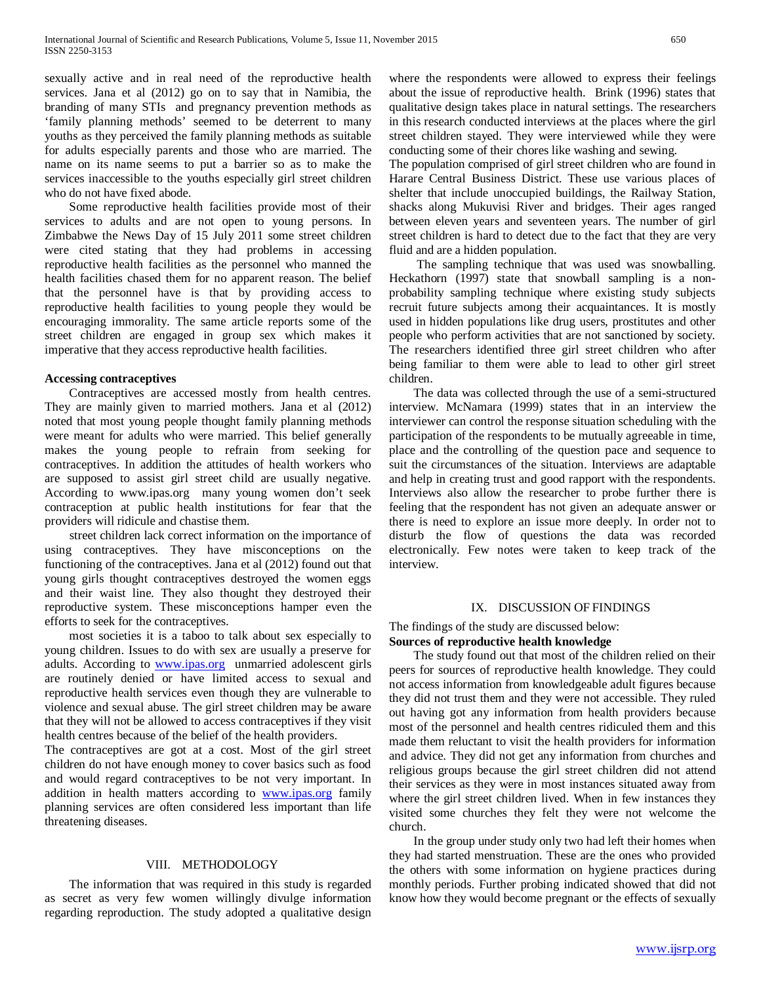sexually active and in real need of the reproductive health services. Jana et al (2012) go on to say that in Namibia, the branding of many STIs and pregnancy prevention methods as 'family planning methods' seemed to be deterrent to many youths as they perceived the family planning methods as suitable for adults especially parents and those who are married. The name on its name seems to put a barrier so as to make the services inaccessible to the youths especially girl street children who do not have fixed abode.

 Some reproductive health facilities provide most of their services to adults and are not open to young persons. In Zimbabwe the News Day of 15 July 2011 some street children were cited stating that they had problems in accessing reproductive health facilities as the personnel who manned the health facilities chased them for no apparent reason. The belief that the personnel have is that by providing access to reproductive health facilities to young people they would be encouraging immorality. The same article reports some of the street children are engaged in group sex which makes it imperative that they access reproductive health facilities.

#### **Accessing contraceptives**

 Contraceptives are accessed mostly from health centres. They are mainly given to married mothers. Jana et al (2012) noted that most young people thought family planning methods were meant for adults who were married. This belief generally makes the young people to refrain from seeking for contraceptives. In addition the attitudes of health workers who are supposed to assist girl street child are usually negative. According to www.ipas.org many young women don't seek contraception at public health institutions for fear that the providers will ridicule and chastise them.

 street children lack correct information on the importance of using contraceptives. They have misconceptions on the functioning of the contraceptives. Jana et al (2012) found out that young girls thought contraceptives destroyed the women eggs and their waist line. They also thought they destroyed their reproductive system. These misconceptions hamper even the efforts to seek for the contraceptives.

 most societies it is a taboo to talk about sex especially to young children. Issues to do with sex are usually a preserve for adults. According to **www.ipas.org** unmarried adolescent girls are routinely denied or have limited access to sexual and reproductive health services even though they are vulnerable to violence and sexual abuse. The girl street children may be aware that they will not be allowed to access contraceptives if they visit health centres because of the belief of the health providers.

The contraceptives are got at a cost. Most of the girl street children do not have enough money to cover basics such as food and would regard contraceptives to be not very important. In addition in health matters according to [www.ipas.org](http://www.ipas.org/) family planning services are often considered less important than life threatening diseases.

## VIII. METHODOLOGY

 The information that was required in this study is regarded as secret as very few women willingly divulge information regarding reproduction. The study adopted a qualitative design

where the respondents were allowed to express their feelings about the issue of reproductive health. Brink (1996) states that qualitative design takes place in natural settings. The researchers in this research conducted interviews at the places where the girl street children stayed. They were interviewed while they were conducting some of their chores like washing and sewing.

The population comprised of girl street children who are found in Harare Central Business District. These use various places of shelter that include unoccupied buildings, the Railway Station, shacks along Mukuvisi River and bridges. Their ages ranged between eleven years and seventeen years. The number of girl street children is hard to detect due to the fact that they are very fluid and are a hidden population.

 The sampling technique that was used was snowballing. Heckathorn (1997) state that snowball sampling is a nonprobability sampling technique where existing study subjects recruit future subjects among their acquaintances. It is mostly used in hidden populations like drug users, prostitutes and other people who perform activities that are not sanctioned by society. The researchers identified three girl street children who after being familiar to them were able to lead to other girl street children.

 The data was collected through the use of a semi-structured interview. McNamara (1999) states that in an interview the interviewer can control the response situation scheduling with the participation of the respondents to be mutually agreeable in time, place and the controlling of the question pace and sequence to suit the circumstances of the situation. Interviews are adaptable and help in creating trust and good rapport with the respondents. Interviews also allow the researcher to probe further there is feeling that the respondent has not given an adequate answer or there is need to explore an issue more deeply. In order not to disturb the flow of questions the data was recorded electronically. Few notes were taken to keep track of the interview.

#### IX. DISCUSSION OF FINDINGS

The findings of the study are discussed below:

## **Sources of reproductive health knowledge**

 The study found out that most of the children relied on their peers for sources of reproductive health knowledge. They could not access information from knowledgeable adult figures because they did not trust them and they were not accessible. They ruled out having got any information from health providers because most of the personnel and health centres ridiculed them and this made them reluctant to visit the health providers for information and advice. They did not get any information from churches and religious groups because the girl street children did not attend their services as they were in most instances situated away from where the girl street children lived. When in few instances they visited some churches they felt they were not welcome the church.

 In the group under study only two had left their homes when they had started menstruation. These are the ones who provided the others with some information on hygiene practices during monthly periods. Further probing indicated showed that did not know how they would become pregnant or the effects of sexually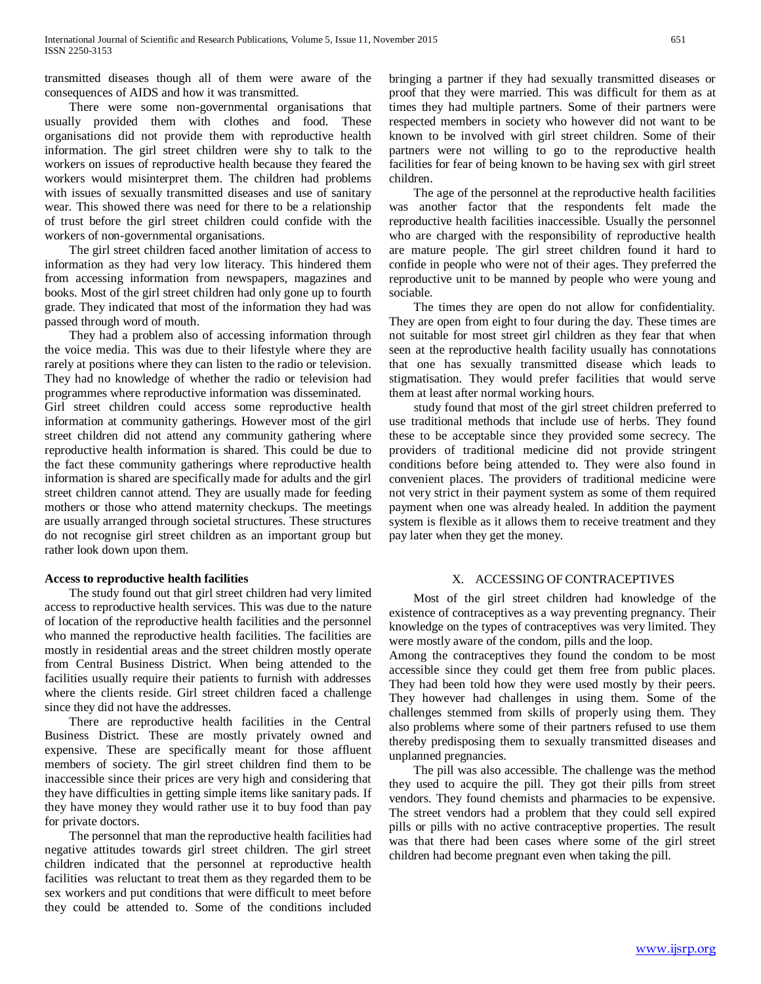transmitted diseases though all of them were aware of the consequences of AIDS and how it was transmitted.

 There were some non-governmental organisations that usually provided them with clothes and food. These organisations did not provide them with reproductive health information. The girl street children were shy to talk to the workers on issues of reproductive health because they feared the workers would misinterpret them. The children had problems with issues of sexually transmitted diseases and use of sanitary wear. This showed there was need for there to be a relationship of trust before the girl street children could confide with the workers of non-governmental organisations.

 The girl street children faced another limitation of access to information as they had very low literacy. This hindered them from accessing information from newspapers, magazines and books. Most of the girl street children had only gone up to fourth grade. They indicated that most of the information they had was passed through word of mouth.

 They had a problem also of accessing information through the voice media. This was due to their lifestyle where they are rarely at positions where they can listen to the radio or television. They had no knowledge of whether the radio or television had programmes where reproductive information was disseminated. Girl street children could access some reproductive health information at community gatherings. However most of the girl street children did not attend any community gathering where reproductive health information is shared. This could be due to the fact these community gatherings where reproductive health information is shared are specifically made for adults and the girl street children cannot attend. They are usually made for feeding mothers or those who attend maternity checkups. The meetings are usually arranged through societal structures. These structures do not recognise girl street children as an important group but

## **Access to reproductive health facilities**

rather look down upon them.

 The study found out that girl street children had very limited access to reproductive health services. This was due to the nature of location of the reproductive health facilities and the personnel who manned the reproductive health facilities. The facilities are mostly in residential areas and the street children mostly operate from Central Business District. When being attended to the facilities usually require their patients to furnish with addresses where the clients reside. Girl street children faced a challenge since they did not have the addresses.

 There are reproductive health facilities in the Central Business District. These are mostly privately owned and expensive. These are specifically meant for those affluent members of society. The girl street children find them to be inaccessible since their prices are very high and considering that they have difficulties in getting simple items like sanitary pads. If they have money they would rather use it to buy food than pay for private doctors.

 The personnel that man the reproductive health facilities had negative attitudes towards girl street children. The girl street children indicated that the personnel at reproductive health facilities was reluctant to treat them as they regarded them to be sex workers and put conditions that were difficult to meet before they could be attended to. Some of the conditions included bringing a partner if they had sexually transmitted diseases or proof that they were married. This was difficult for them as at times they had multiple partners. Some of their partners were respected members in society who however did not want to be known to be involved with girl street children. Some of their partners were not willing to go to the reproductive health facilities for fear of being known to be having sex with girl street children.

 The age of the personnel at the reproductive health facilities was another factor that the respondents felt made the reproductive health facilities inaccessible. Usually the personnel who are charged with the responsibility of reproductive health are mature people. The girl street children found it hard to confide in people who were not of their ages. They preferred the reproductive unit to be manned by people who were young and sociable.

 The times they are open do not allow for confidentiality. They are open from eight to four during the day. These times are not suitable for most street girl children as they fear that when seen at the reproductive health facility usually has connotations that one has sexually transmitted disease which leads to stigmatisation. They would prefer facilities that would serve them at least after normal working hours.

 study found that most of the girl street children preferred to use traditional methods that include use of herbs. They found these to be acceptable since they provided some secrecy. The providers of traditional medicine did not provide stringent conditions before being attended to. They were also found in convenient places. The providers of traditional medicine were not very strict in their payment system as some of them required payment when one was already healed. In addition the payment system is flexible as it allows them to receive treatment and they pay later when they get the money.

# X. ACCESSING OF CONTRACEPTIVES

 Most of the girl street children had knowledge of the existence of contraceptives as a way preventing pregnancy. Their knowledge on the types of contraceptives was very limited. They were mostly aware of the condom, pills and the loop.

Among the contraceptives they found the condom to be most accessible since they could get them free from public places. They had been told how they were used mostly by their peers. They however had challenges in using them. Some of the challenges stemmed from skills of properly using them. They also problems where some of their partners refused to use them thereby predisposing them to sexually transmitted diseases and unplanned pregnancies.

 The pill was also accessible. The challenge was the method they used to acquire the pill. They got their pills from street vendors. They found chemists and pharmacies to be expensive. The street vendors had a problem that they could sell expired pills or pills with no active contraceptive properties. The result was that there had been cases where some of the girl street children had become pregnant even when taking the pill.